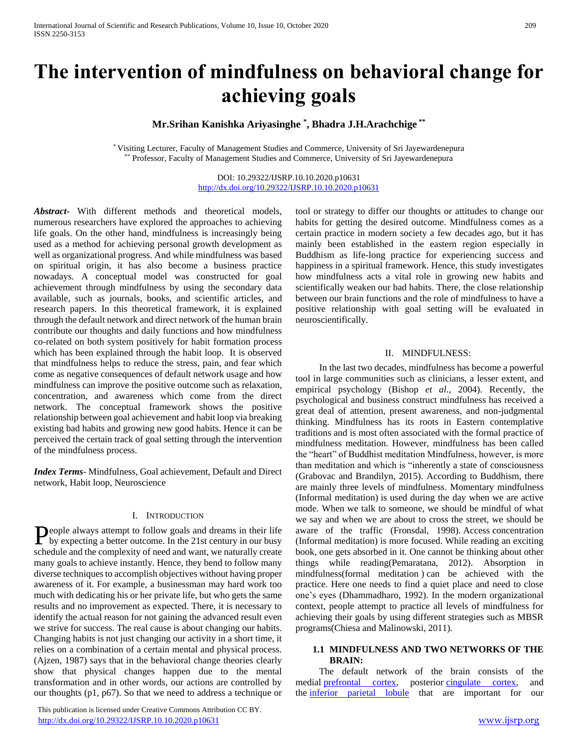# **The intervention of mindfulness on behavioral change for achieving goals**

**Mr.Srihan Kanishka Ariyasinghe \* , Bhadra J.H.Arachchige \*\***

\* Visiting Lecturer, Faculty of Management Studies and Commerce, University of Sri Jayewardenepura \* Professor, Faculty of Management Studies and Commerce, University of Sri Jayewardenepura

> DOI: 10.29322/IJSRP.10.10.2020.p10631 <http://dx.doi.org/10.29322/IJSRP.10.10.2020.p10631>

*Abstract***-** With different methods and theoretical models, numerous researchers have explored the approaches to achieving life goals. On the other hand, mindfulness is increasingly being used as a method for achieving personal growth development as well as organizational progress. And while mindfulness was based on spiritual origin, it has also become a business practice nowadays. A conceptual model was constructed for goal achievement through mindfulness by using the secondary data available, such as journals, books, and scientific articles, and research papers. In this theoretical framework, it is explained through the default network and direct network of the human brain contribute our thoughts and daily functions and how mindfulness co-related on both system positively for habit formation process which has been explained through the habit loop. It is observed that mindfulness helps to reduce the stress, pain, and fear which come as negative consequences of default network usage and how mindfulness can improve the positive outcome such as relaxation, concentration, and awareness which come from the direct network. The conceptual framework shows the positive relationship between goal achievement and habit loop via breaking existing bad habits and growing new good habits. Hence it can be perceived the certain track of goal setting through the intervention of the mindfulness process.

*Index Terms*- Mindfulness, Goal achievement, Default and Direct network, Habit loop, Neuroscience

## I. INTRODUCTION

eople always attempt to follow goals and dreams in their life People always attempt to follow goals and dreams in their life<br>by expecting a better outcome. In the 21st century in our busy schedule and the complexity of need and want, we naturally create many goals to achieve instantly. Hence, they bend to follow many diverse techniques to accomplish objectives without having proper awareness of it. For example, a businessman may hard work too much with dedicating his or her private life, but who gets the same results and no improvement as expected. There, it is necessary to identify the actual reason for not gaining the advanced result even we strive for success. The real cause is about changing our habits. Changing habits is not just changing our activity in a short time, it relies on a combination of a certain mental and physical process. (Ajzen, 1987) says that in the behavioral change theories clearly show that physical changes happen due to the mental transformation and in other words, our actions are controlled by our thoughts (p1, p67). So that we need to address a technique or

 This publication is licensed under Creative Commons Attribution CC BY. <http://dx.doi.org/10.29322/IJSRP.10.10.2020.p10631> [www.ijsrp.org](http://ijsrp.org/)

tool or strategy to differ our thoughts or attitudes to change our habits for getting the desired outcome. Mindfulness comes as a certain practice in modern society a few decades ago, but it has mainly been established in the eastern region especially in Buddhism as life-long practice for experiencing success and happiness in a spiritual framework. Hence, this study investigates how mindfulness acts a vital role in growing new habits and scientifically weaken our bad habits. There, the close relationship between our brain functions and the role of mindfulness to have a positive relationship with goal setting will be evaluated in neuroscientifically.

# II. MINDFULNESS:

 In the last two decades, mindfulness has become a powerful tool in large communities such as clinicians, a lesser extent, and empirical psychology (Bishop *et al.*, 2004). Recently, the psychological and business construct mindfulness has received a great deal of attention, present awareness, and non-judgmental thinking. Mindfulness has its roots in Eastern contemplative traditions and is most often associated with the formal practice of mindfulness meditation. However, mindfulness has been called the "heart" of Buddhist meditation Mindfulness, however, is more than meditation and which is "inherently a state of consciousness (Grabovac and Brandilyn, 2015). According to Buddhism, there are mainly three levels of mindfulness. Momentary mindfulness (Informal meditation) is used during the day when we are active mode. When we talk to someone, we should be mindful of what we say and when we are about to cross the street, we should be aware of the traffic (Fronsdal, 1998). Access concentration (Informal meditation) is more focused. While reading an exciting book, one gets absorbed in it. One cannot be thinking about other things while reading(Pemaratana, 2012). Absorption in mindfulness(formal meditation ) can be achieved with the practice. Here one needs to find a quiet place and need to close one's eyes (Dhammadharo, 1992). In the modern organizational context, people attempt to practice all levels of mindfulness for achieving their goals by using different strategies such as MBSR programs(Chiesa and Malinowski, 2011).

# **1.1 MINDFULNESS AND TWO NETWORKS OF THE BRAIN:**

 The default network of the brain consists of the medial [prefrontal cortex,](http://www.neuroscientificallychallenged.com/glossary/prefrontal-cortex) posterior [cingulate cortex,](http://www.neuroscientificallychallenged.com/glossary/cingulate-cortex) and the [inferior parietal lobule](http://www.neuroscientificallychallenged.com/glossary/inferior-parietal-lobule) that are important for our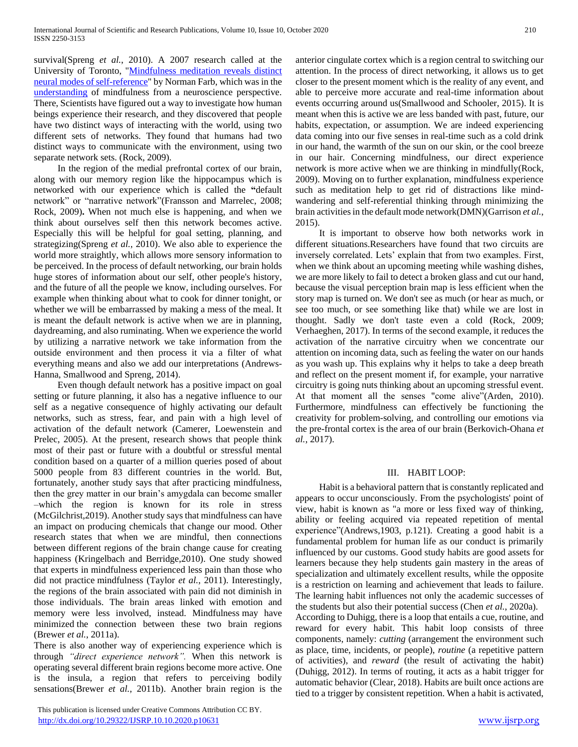survival(Spreng *et al.*, 2010). A 2007 research called at the University of Toronto, ["Mindfulness meditation reveals distinct](http://scan.oxfordjournals.org/cgi/content/short/2/4/313)  [neural modes of self-reference"](http://scan.oxfordjournals.org/cgi/content/short/2/4/313) by Norman Farb, which was in the [understanding](https://www.psychologytoday.com/basics/empathy) of mindfulness from a neuroscience perspective. There, Scientists have figured out a way to investigate how human beings experience their research, and they discovered that people have two distinct ways of interacting with the world, using two different sets of networks. They found that humans had two distinct ways to communicate with the environment, using two separate network sets. (Rock, 2009).

 In the region of the medial prefrontal cortex of our brain, along with our memory region like the hippocampus which is networked with our experience which is called the **"**default network" or "narrative network"(Fransson and Marrelec, 2008; Rock, 2009)**.** When not much else is happening, and when we think about ourselves self then this network becomes active. Especially this will be helpful for goal setting, planning, and strategizing(Spreng *et al.*, 2010). We also able to experience the world more straightly, which allows more sensory information to be perceived. In the process of default networking, our brain holds huge stores of information about our self, other people's history, and the future of all the people we know, including ourselves. For example when thinking about what to cook for dinner tonight, or whether we will be embarrassed by making a mess of the meal. It is meant the default network is active when we are in planning, daydreaming, and also ruminating. When we experience the world by utilizing a narrative network we take information from the outside environment and then process it via a filter of what everything means and also we add our interpretations (Andrews-Hanna, Smallwood and Spreng, 2014).

 Even though default network has a positive impact on goal setting or future planning, it also has a negative influence to our self as a negative consequence of highly activating our default networks, such as stress, fear, and pain with a high level of activation of the default network (Camerer, Loewenstein and Prelec, 2005). At the present, research shows that people think most of their past or future with a doubtful or stressful mental condition based on a quarter of a million queries posed of about 5000 people from 83 different countries in the world. But, fortunately, another study says that after practicing mindfulness, then the grey matter in our brain's amygdala can become smaller –which the region is known for its role in stress (McGilchrist,2019). Another study says that mindfulness can have an impact on producing chemicals that change our mood. Other research states that when we are mindful, then connections between different regions of the brain change cause for creating happiness (Kringelbach and Berridge,2010). One study showed that experts in mindfulness experienced less pain than those who did not practice mindfulness (Taylor *et al.*, 2011). Interestingly, the regions of the brain associated with pain did not diminish in those individuals. The brain areas linked with emotion and memory were less involved, instead. Mindfulness may have minimized the connection between these two brain regions (Brewer *et al.*, 2011a).

There is also another way of experiencing experience which is through *"direct experience network".* When this network is operating several different brain regions become more active. One is the insula, a region that refers to perceiving bodily sensations(Brewer *et al.*, 2011b). Another brain region is the

 This publication is licensed under Creative Commons Attribution CC BY. <http://dx.doi.org/10.29322/IJSRP.10.10.2020.p10631> [www.ijsrp.org](http://ijsrp.org/)

anterior cingulate cortex which is a region central to switching our attention. In the process of direct networking, it allows us to get closer to the present moment which is the reality of any event, and able to perceive more accurate and real-time information about events occurring around us(Smallwood and Schooler, 2015). It is meant when this is active we are less banded with past, future, our habits, expectation, or assumption. We are indeed experiencing data coming into our five senses in real-time such as a cold drink in our hand, the warmth of the sun on our skin, or the cool breeze in our hair. Concerning mindfulness, our direct experience network is more active when we are thinking in mindfully(Rock, 2009). Moving on to further explanation, mindfulness experience such as meditation help to get rid of distractions like mindwandering and self-referential thinking through minimizing the brain activities in the default mode network(DMN)(Garrison *et al.*, 2015).

 It is important to observe how both networks work in different situations.Researchers have found that two circuits are inversely correlated. Lets' explain that from two examples. First, when we think about an upcoming meeting while washing dishes, we are more likely to fail to detect a broken glass and cut our hand, because the visual perception brain map is less efficient when the story map is turned on. We don't see as much (or hear as much, or see too much, or see something like that) while we are lost in thought. Sadly we don't taste even a cold (Rock, 2009; Verhaeghen, 2017). In terms of the second example, it reduces the activation of the narrative circuitry when we concentrate our attention on incoming data, such as feeling the water on our hands as you wash up. This explains why it helps to take a deep breath and reflect on the present moment if, for example, your narrative circuitry is going nuts thinking about an upcoming stressful event. At that moment all the senses "come alive"(Arden, 2010). Furthermore, mindfulness can effectively be functioning the creativity for problem-solving, and controlling our emotions via the pre-frontal cortex is the area of our brain (Berkovich-Ohana *et al.*, 2017).

## III. HABIT LOOP:

 Habit is a behavioral pattern that is constantly replicated and appears to occur unconsciously. From the psychologists' point of view, habit is known as "a more or less fixed way of thinking, ability or feeling acquired via repeated repetition of mental experience"(Andrews,1903, p.121). Creating a good habit is a fundamental problem for human life as our conduct is primarily influenced by our customs. Good study habits are good assets for learners because they help students gain mastery in the areas of specialization and ultimately excellent results, while the opposite is a restriction on learning and achievement that leads to failure. The learning habit influences not only the academic successes of the students but also their potential success (Chen *et al.*, 2020a). According to Duhigg, there is a loop that entails a cue, routine, and

reward for every habit. This habit loop consists of three components, namely: *cutting* (arrangement the environment such as place, time, incidents, or people), *routine* (a repetitive pattern of activities), and *reward* (the result of activating the habit) (Duhigg, 2012). In terms of routing, it acts as a habit trigger for automatic behavior (Clear, 2018). Habits are built once actions are tied to a trigger by consistent repetition. When a habit is activated,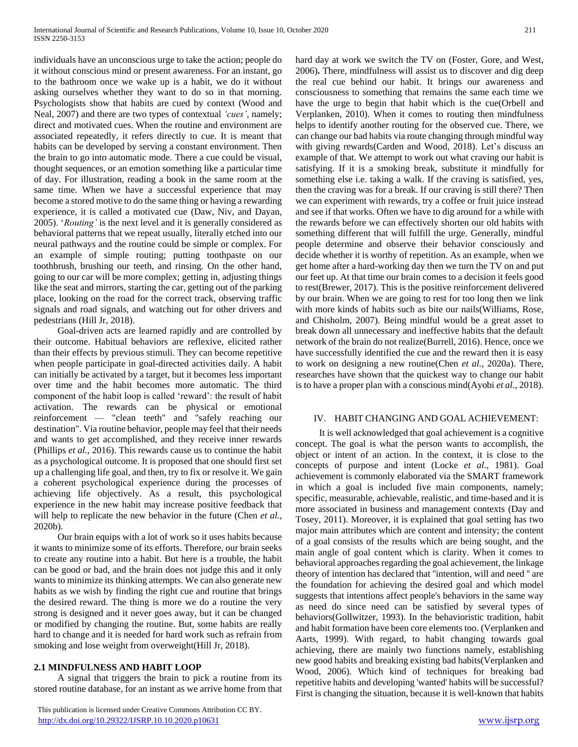individuals have an unconscious urge to take the action; people do it without conscious mind or present awareness. For an instant, go to the bathroom once we wake up is a habit, we do it without asking ourselves whether they want to do so in that morning. Psychologists show that habits are cued by context (Wood and Neal, 2007) and there are two types of contextual *'cues'*, namely; direct and motivated cues. When the routine and environment are associated repeatedly, it refers directly to cue. It is meant that habits can be developed by serving a constant environment. Then the brain to go into automatic mode. There a cue could be visual, thought sequences, or an emotion something like a particular time of day. For illustration, reading a book in the same room at the same time. When we have a successful experience that may become a stored motive to do the same thing or having a rewarding experience, it is called a motivated cue (Daw, Niv, and Dayan, 2005). '*Routing'* is the next level and it is generally considered as behavioral patterns that we repeat usually, literally etched into our neural pathways and the routine could be simple or complex. For an example of simple routing; putting toothpaste on our toothbrush, brushing our teeth, and rinsing. On the other hand, going to our car will be more complex; getting in, adjusting things like the seat and mirrors, starting the car, getting out of the parking place, looking on the road for the correct track, observing traffic signals and road signals, and watching out for other drivers and pedestrians (Hill Jr, 2018).

 Goal-driven acts are learned rapidly and are controlled by their outcome. Habitual behaviors are reflexive, elicited rather than their effects by previous stimuli. They can become repetitive when people participate in goal-directed activities daily. A habit can initially be activated by a target, but it becomes less important over time and the habit becomes more automatic. The third component of the habit loop is called 'reward': the result of habit activation. The rewards can be physical or emotional reinforcement — "clean teeth" and "safely reaching our destination". Via routine behavior, people may feel that their needs and wants to get accomplished, and they receive inner rewards (Phillips *et al.*, 2016). This rewards cause us to continue the habit as a psychological outcome. It is proposed that one should first set up a challenging life goal, and then, try to fix or resolve it. We gain a coherent psychological experience during the processes of achieving life objectively. As a result, this psychological experience in the new habit may increase positive feedback that will help to replicate the new behavior in the future (Chen *et al.*, 2020b).

 Our brain equips with a lot of work so it uses habits because it wants to minimize some of its efforts. Therefore, our brain seeks to create any routine into a habit. But here is a trouble, the habit can be good or bad, and the brain does not judge this and it only wants to minimize its thinking attempts. We can also generate new habits as we wish by finding the right cue and routine that brings the desired reward. The thing is more we do a routine the very strong is designed and it never goes away, but it can be changed or modified by changing the routine. But, some habits are really hard to change and it is needed for hard work such as refrain from smoking and lose weight from overweight(Hill Jr, 2018).

# **2.1 MINDFULNESS AND HABIT LOOP**

 A signal that triggers the brain to pick a routine from its stored routine database, for an instant as we arrive home from that hard day at work we switch the TV on (Foster, Gore, and West, 2006)**.** There, mindfulness will assist us to discover and dig deep the real cue behind our habit. It brings our awareness and consciousness to something that remains the same each time we have the urge to begin that habit which is the cue(Orbell and Verplanken, 2010). When it comes to routing then mindfulness helps to identify another routing for the observed cue. There, we can change our bad habits via route changing through mindful way with giving rewards(Carden and Wood, 2018). Let's discuss an example of that. We attempt to work out what craving our habit is satisfying. If it is a smoking break, substitute it mindfully for something else i.e. taking a walk. If the craving is satisfied, yes, then the craving was for a break. If our craving is still there? Then we can experiment with rewards, try a coffee or fruit juice instead and see if that works. Often we have to dig around for a while with the rewards before we can effectively shorten our old habits with something different that will fulfill the urge. Generally, mindful people determine and observe their behavior consciously and decide whether it is worthy of repetition. As an example, when we get home after a hard-working day then we turn the TV on and put our feet up. At that time our brain comes to a decision it feels good to rest(Brewer, 2017). This is the positive reinforcement delivered by our brain. When we are going to rest for too long then we link with more kinds of habits such as bite our nails(Williams, Rose, and Chisholm, 2007). Being mindful would be a great asset to break down all unnecessary and ineffective habits that the default network of the brain do not realize(Burrell, 2016). Hence, once we have successfully identified the cue and the reward then it is easy to work on designing a new routine(Chen *et al.*, 2020a). There, researches have shown that the quickest way to change our habit is to have a proper plan with a conscious mind(Ayobi *et al.*, 2018).

# IV. HABIT CHANGING AND GOAL ACHIEVEMENT:

 It is well acknowledged that goal achievement is a cognitive concept. The goal is what the person wants to accomplish, the object or intent of an action. In the context, it is close to the concepts of purpose and intent (Locke *et al.*, 1981). Goal achievement is commonly elaborated via the SMART framework in which a goal is included five main components, namely; specific, measurable, achievable, realistic, and time-based and it is more associated in business and management contexts (Day and Tosey, 2011). Moreover, it is explained that goal setting has two major main attributes which are content and intensity; the content of a goal consists of the results which are being sought, and the main angle of goal content which is clarity. When it comes to behavioral approaches regarding the goal achievement, the linkage theory of intention has declared that ''intention, will and need '' are the foundation for achieving the desired goal and which model suggests that intentions affect people's behaviors in the same way as need do since need can be satisfied by several types of behaviors(Gollwitzer, 1993). In the behavioristic tradition, habit and habit formation have been core elements too. (Verplanken and Aarts, 1999). With regard, to habit changing towards goal achieving, there are mainly two functions namely, establishing new good habits and breaking existing bad habits(Verplanken and Wood, 2006). Which kind of techniques for breaking bad repetitive habits and developing 'wanted' habits will be successful? First is changing the situation, because it is well-known that habits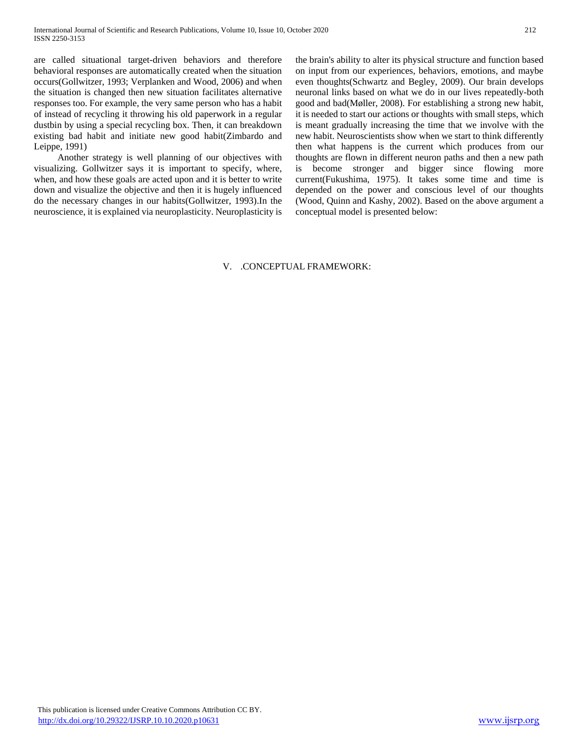are called situational target-driven behaviors and therefore behavioral responses are automatically created when the situation occurs(Gollwitzer, 1993; Verplanken and Wood, 2006) and when the situation is changed then new situation facilitates alternative responses too. For example, the very same person who has a habit of instead of recycling it throwing his old paperwork in a regular dustbin by using a special recycling box. Then, it can breakdown existing bad habit and initiate new good habit(Zimbardo and Leippe, 1991)

 Another strategy is well planning of our objectives with visualizing. Gollwitzer says it is important to specify, where, when, and how these goals are acted upon and it is better to write down and visualize the objective and then it is hugely influenced do the necessary changes in our habits(Gollwitzer, 1993).In the neuroscience, it is explained via neuroplasticity. Neuroplasticity is the brain's ability to alter its physical structure and function based on input from our experiences, behaviors, emotions, and maybe even thoughts(Schwartz and Begley, 2009). Our brain develops neuronal links based on what we do in our lives repeatedly-both good and bad(Møller, 2008). For establishing a strong new habit, it is needed to start our actions or thoughts with small steps, which is meant gradually increasing the time that we involve with the new habit. Neuroscientists show when we start to think differently then what happens is the current which produces from our thoughts are flown in different neuron paths and then a new path is become stronger and bigger since flowing more current(Fukushima, 1975). It takes some time and time is depended on the power and conscious level of our thoughts (Wood, Quinn and Kashy, 2002). Based on the above argument a conceptual model is presented below:

# V. .CONCEPTUAL FRAMEWORK: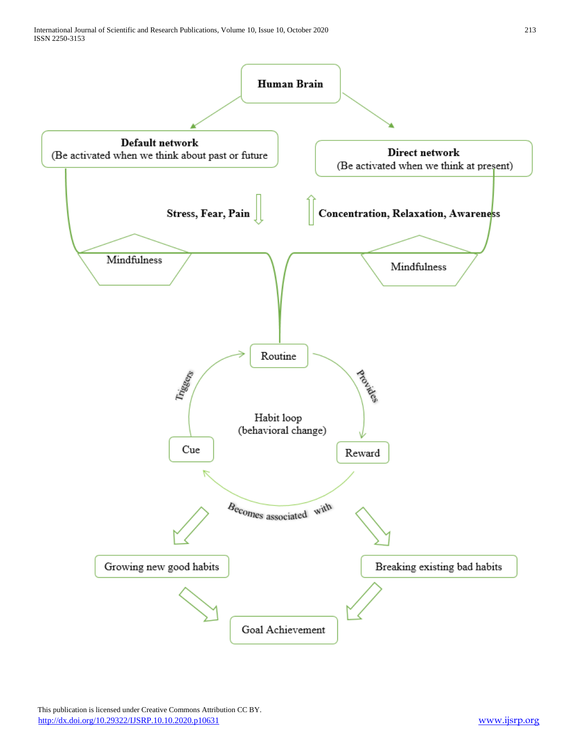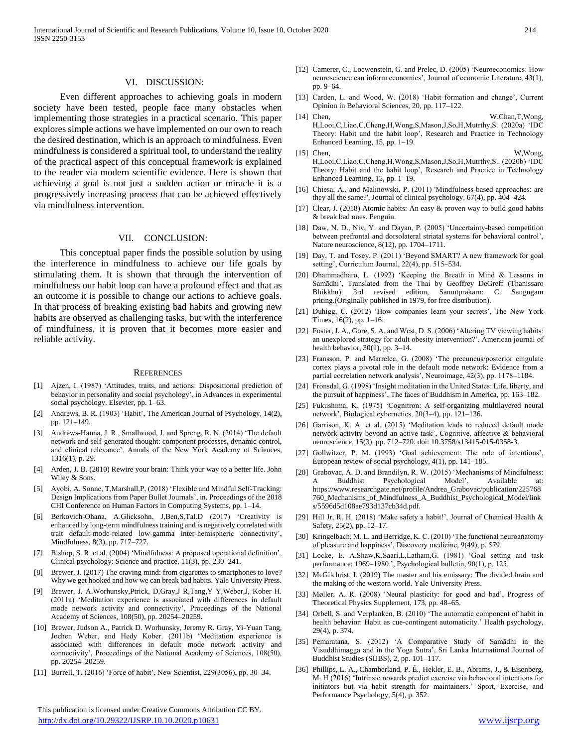#### VI. DISCUSSION:

 Even different approaches to achieving goals in modern society have been tested, people face many obstacles when implementing those strategies in a practical scenario. This paper explores simple actions we have implemented on our own to reach the desired destination, which is an approach to mindfulness. Even mindfulness is considered a spiritual tool, to understand the reality of the practical aspect of this conceptual framework is explained to the reader via modern scientific evidence. Here is shown that achieving a goal is not just a sudden action or miracle it is a progressively increasing process that can be achieved effectively via mindfulness intervention.

### VII. CONCLUSION:

 This conceptual paper finds the possible solution by using the interference in mindfulness to achieve our life goals by stimulating them. It is shown that through the intervention of mindfulness our habit loop can have a profound effect and that as an outcome it is possible to change our actions to achieve goals. In that process of breaking existing bad habits and growing new habits are observed as challenging tasks, but with the interference of mindfulness, it is proven that it becomes more easier and reliable activity.

#### **REFERENCES**

- [1] Ajzen, I. (1987) 'Attitudes, traits, and actions: Dispositional prediction of behavior in personality and social psychology', in Advances in experimental social psychology. Elsevier, pp. 1–63.
- [2] Andrews, B. R. (1903) 'Habit', The American Journal of Psychology, 14(2), pp. 121–149.
- [3] Andrews-Hanna, J. R., Smallwood, J. and Spreng, R. N. (2014) 'The default network and self-generated thought: component processes, dynamic control, and clinical relevance', Annals of the New York Academy of Sciences, 1316(1), p. 29.
- [4] Arden, J. B. (2010) Rewire your brain: Think your way to a better life. John Wiley & Sons.
- [5] Ayobi, A, Sonne, T,Marshall,P, (2018) 'Flexible and Mindful Self-Tracking: Design Implications from Paper Bullet Journals', in. Proceedings of the 2018 CHI Conference on Human Factors in Computing Systems, pp. 1–14.
- [6] Berkovich-Ohana, A.Glicksohn, J,Ben,S,Tal.D (2017) 'Creativity is enhanced by long-term mindfulness training and is negatively correlated with trait default-mode-related low-gamma inter-hemispheric connectivity', Mindfulness, 8(3), pp. 717–727.
- [7] Bishop, S. R. et al. (2004) 'Mindfulness: A proposed operational definition', Clinical psychology: Science and practice, 11(3), pp. 230–241.
- Brewer, J. (2017) The craving mind: from cigarettes to smartphones to love? Why we get hooked and how we can break bad habits. Yale University Press.
- [9] Brewer, J. A.Worhunsky,Ptrick, D,Gray,J R,Tang,Y Y,Weber,J, Kober H. (2011a) 'Meditation experience is associated with differences in default mode network activity and connectivity', Proceedings of the National Academy of Sciences, 108(50), pp. 20254–20259.
- [10] Brewer, Judson A., Patrick D. Worhunsky, Jeremy R. Gray, Yi-Yuan Tang, Jochen Weber, and Hedy Kober. (2011b) 'Meditation experience is associated with differences in default mode network activity and connectivity', Proceedings of the National Academy of Sciences, 108(50), pp. 20254–20259.
- [11] Burrell, T. (2016) 'Force of habit', New Scientist, 229(3056), pp. 30–34.

 This publication is licensed under Creative Commons Attribution CC BY. <http://dx.doi.org/10.29322/IJSRP.10.10.2020.p10631> [www.ijsrp.org](http://ijsrp.org/)

- [12] Camerer, C., Loewenstein, G. and Prelec, D. (2005) 'Neuroeconomics: How neuroscience can inform economics', Journal of economic Literature, 43(1), pp. 9–64.
- [13] Carden, L. and Wood, W. (2018) 'Habit formation and change', Current Opinion in Behavioral Sciences, 20, pp. 117–122.
- [14] Chen, W.Chan,T,Wong, H,Looi,C,Liao,C,Cheng,H,Wong,S,Mason,J,So,H,Mutrthy,S. (2020a) 'IDC Theory: Habit and the habit loop', Research and Practice in Technology Enhanced Learning, 15, pp. 1–19.
- [15] Chen, W,Wong, H,Looi,C,Liao,C,Cheng,H,Wong,S,Mason,J,So,H,Mutrthy,S.. (2020b) 'IDC Theory: Habit and the habit loop', Research and Practice in Technology Enhanced Learning, 15, pp. 1–19.
- [16] Chiesa, A., and Malinowski, P. (2011) 'Mindfulness-based approaches: are they all the same?', Journal of clinical psychology, 67(4), pp. 404–424.
- [17] Clear, J. (2018) Atomic habits: An easy & proven way to build good habits & break bad ones. Penguin.
- [18] Daw, N. D., Niv, Y. and Dayan, P. (2005) 'Uncertainty-based competition between prefrontal and dorsolateral striatal systems for behavioral control', Nature neuroscience, 8(12), pp. 1704–1711.
- [19] Day, T. and Tosey, P. (2011) 'Beyond SMART? A new framework for goal setting', Curriculum Journal, 22(4), pp. 515–534.
- [20] Dhammadharo, L. (1992) 'Keeping the Breath in Mind & Lessons in Samādhi', Translated from the Thai by Geoffrey DeGreff (Thanissaro Bhikkhu), 3rd revised edition, Samutprakarn: C. Sangngam priting.(Originally published in 1979, for free distribution).
- [21] Duhigg, C. (2012) 'How companies learn your secrets', The New York Times, 16(2), pp. 1–16.
- [22] Foster, J. A., Gore, S. A. and West, D. S. (2006) 'Altering TV viewing habits: an unexplored strategy for adult obesity intervention?', American journal of health behavior, 30(1), pp. 3–14.
- [23] Fransson, P. and Marrelec, G. (2008) 'The precuneus/posterior cingulate cortex plays a pivotal role in the default mode network: Evidence from a partial correlation network analysis', Neuroimage, 42(3), pp. 1178–1184.
- [24] Fronsdal, G. (1998) 'Insight meditation in the United States: Life, liberty, and the pursuit of happiness', The faces of Buddhism in America, pp. 163–182.
- [25] Fukushima, K. (1975) 'Cognitron: A self-organizing multilayered neural network', Biological cybernetics, 20(3–4), pp. 121–136.
- [26] Garrison, K. A. et al. (2015) 'Meditation leads to reduced default mode network activity beyond an active task', Cognitive, affective & behavioral neuroscience, 15(3), pp. 712–720. doi: 10.3758/s13415-015-0358-3.
- [27] Gollwitzer, P. M. (1993) 'Goal achievement: The role of intentions', European review of social psychology, 4(1), pp. 141–185.
- [28] Grabovac, A. D. and Brandilyn, R. W. (2015) 'Mechanisms of Mindfulness: A Buddhist Psychological Model'. Available at: https://www.researchgate.net/profile/Andrea\_Grabovac/publication/225768 760\_Mechanisms\_of\_Mindfulness\_A\_Buddhist\_Psychological\_Model/link s/5596d5d108ae793d137cb34d.pdf.
- [29] Hill Jr, R. H. (2018) 'Make safety a habit!', Journal of Chemical Health & Safety, 25(2), pp. 12–17.
- [30] Kringelbach, M. L. and Berridge, K. C. (2010) 'The functional neuroanatomy of pleasure and happiness', Discovery medicine, 9(49), p. 579.
- [31] Locke, E. A.Shaw,K,Saari,L,Latham,G. (1981) 'Goal setting and task performance: 1969–1980.', Psychological bulletin, 90(1), p. 125.
- [32] McGilchrist, I. (2019) The master and his emissary: The divided brain and the making of the western world. Yale University Press.
- [33] Møller, A. R. (2008) 'Neural plasticity: for good and bad', Progress of Theoretical Physics Supplement, 173, pp. 48–65.
- [34] Orbell, S. and Verplanken, B. (2010) 'The automatic component of habit in health behavior: Habit as cue-contingent automaticity.' Health psychology, 29(4), p. 374.
- [35] Pemaratana, S. (2012) 'A Comparative Study of Samādhi in the Visuddhimagga and in the Yoga Sutra', Sri Lanka International Journal of Buddhist Studies (SIJBS), 2, pp. 101–117.
- [36] Phillips, L. A., Chamberland, P. É., Hekler, E. B., Abrams, J., & Eisenberg, M. H (2016) 'Intrinsic rewards predict exercise via behavioral intentions for initiators but via habit strength for maintainers.' Sport, Exercise, and Performance Psychology, 5(4), p. 352.